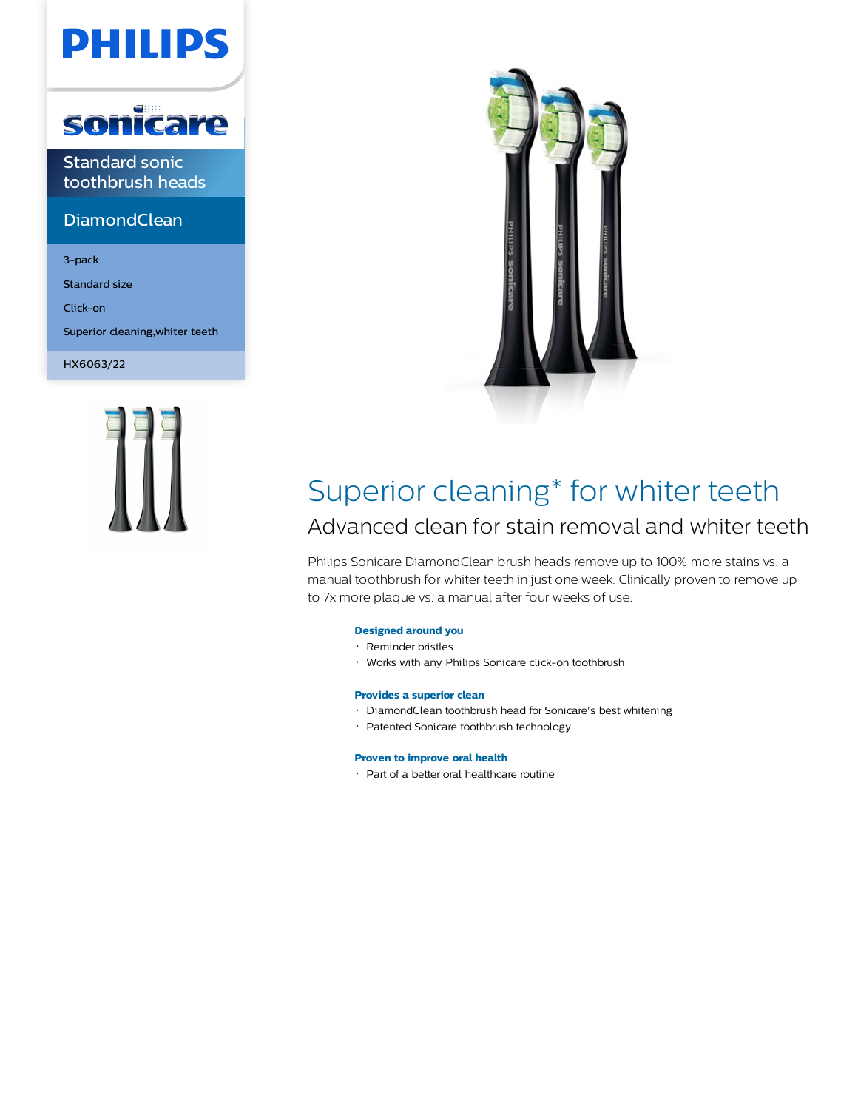# **PHILIPS**



Standard sonic toothbrush heads

### **DiamondClean**

3-pack

Standard size

Click-on

Superior cleaning,whiter teeth

HX6063/22





### Superior cleaning\* for whiter teeth Advanced clean for stain removal and whiter teeth

Philips Sonicare DiamondClean brush heads remove up to 100% more stains vs. a manual toothbrush for whiter teeth in just one week. Clinically proven to remove up to 7x more plaque vs. a manual after four weeks of use.

#### **Designed around you**

- Reminder bristles
- Works with any Philips Sonicare click-on toothbrush

#### **Provides a superior clean**

- DiamondClean toothbrush head for Sonicare's best whitening
- Patented Sonicare toothbrush technology

#### **Proven to improve oral health**

Part of a better oral healthcare routine